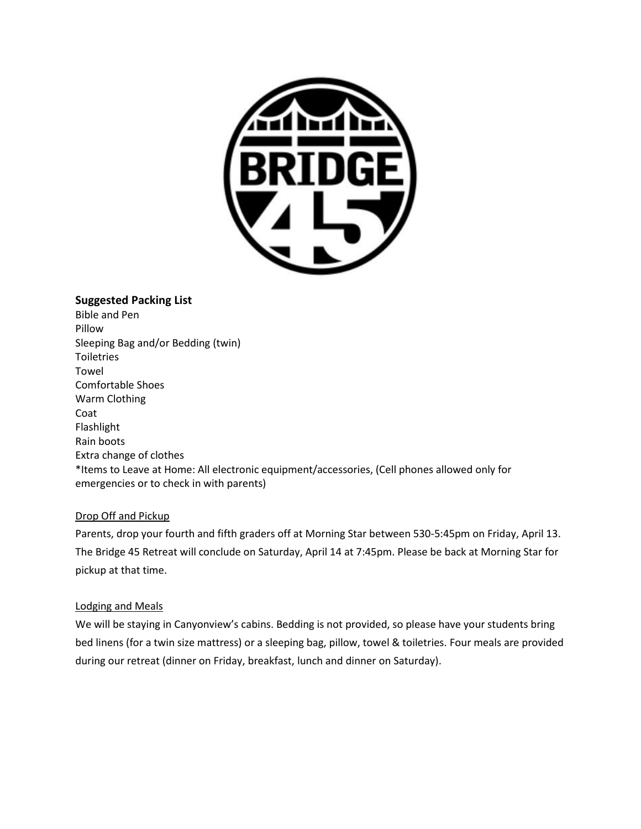

## **Suggested Packing List**

Bible and Pen Pillow Sleeping Bag and/or Bedding (twin) Toiletries Towel Comfortable Shoes Warm Clothing Coat Flashlight Rain boots Extra change of clothes \*Items to Leave at Home: All electronic equipment/accessories, (Cell phones allowed only for emergencies or to check in with parents)

## Drop Off and Pickup

Parents, drop your fourth and fifth graders off at Morning Star between 530-5:45pm on Friday, April 13. The Bridge 45 Retreat will conclude on Saturday, April 14 at 7:45pm. Please be back at Morning Star for pickup at that time.

#### Lodging and Meals

We will be staying in Canyonview's cabins. Bedding is not provided, so please have your students bring bed linens (for a twin size mattress) or a sleeping bag, pillow, towel & toiletries. Four meals are provided during our retreat (dinner on Friday, breakfast, lunch and dinner on Saturday).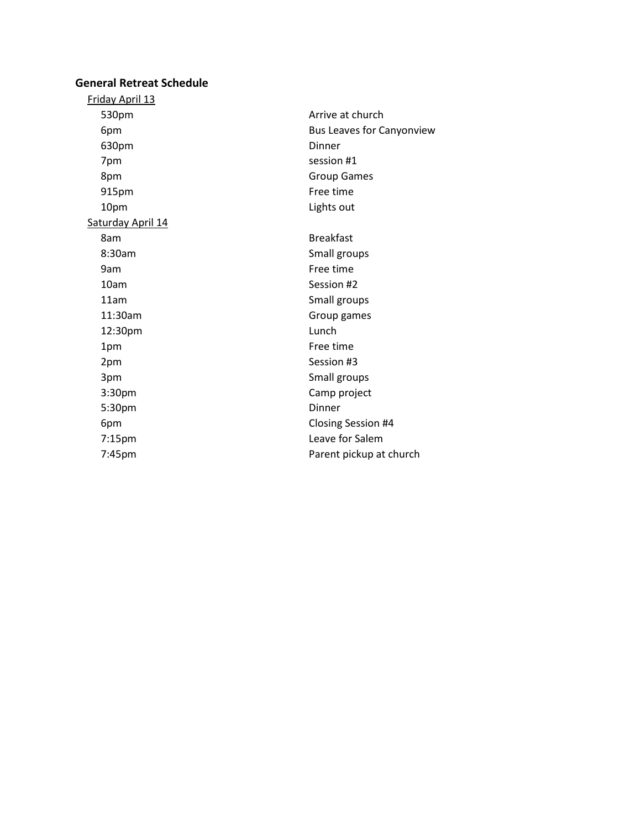# **General Retreat Schedule**

| Friday April 13   |                                  |
|-------------------|----------------------------------|
| 530pm             | Arrive at church                 |
| 6pm               | <b>Bus Leaves for Canyonview</b> |
| 630pm             | Dinner                           |
| 7pm               | session #1                       |
| 8pm               | <b>Group Games</b>               |
| 915pm             | Free time                        |
| 10pm              | Lights out                       |
| Saturday April 14 |                                  |
| 8am               | <b>Breakfast</b>                 |
| 8:30am            | Small groups                     |
| 9am               | Free time                        |
| 10am              | Session #2                       |
| 11am              | Small groups                     |
| 11:30am           | Group games                      |
| 12:30pm           | Lunch                            |
| 1pm               | Free time                        |
| 2pm               | Session #3                       |
| 3pm               | Small groups                     |
| 3:30pm            | Camp project                     |
| 5:30pm            | Dinner                           |
| 6pm               | Closing Session #4               |
| 7:15pm            | Leave for Salem                  |
| 7:45pm            | Parent pickup at church          |